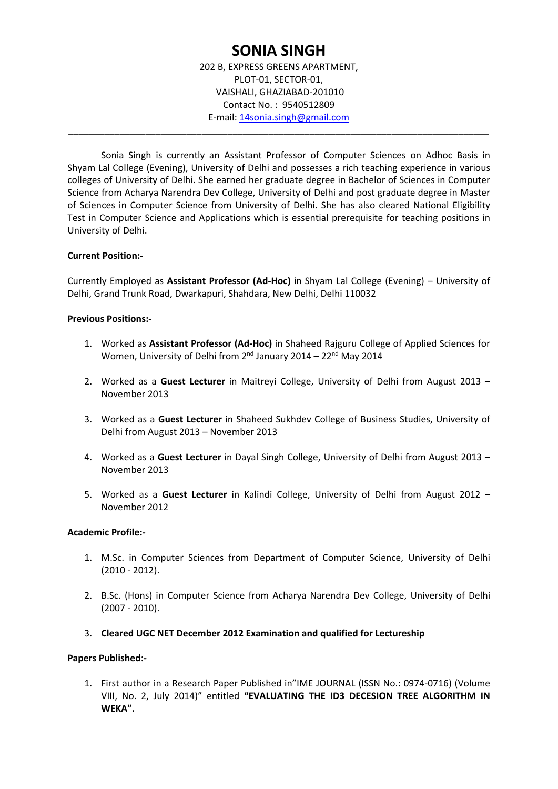# **SONIA SINGH**

202 B, EXPRESS GREENS APARTMENT, PLOT‐01, SECTOR‐01, VAISHALI, GHAZIABAD‐201010 Contact No. : 9540512809 E‐mail: 14sonia.singh@gmail.com

\_\_\_\_\_\_\_\_\_\_\_\_\_\_\_\_\_\_\_\_\_\_\_\_\_\_\_\_\_\_\_\_\_\_\_\_\_\_\_\_\_\_\_\_\_\_\_\_\_\_\_\_\_\_\_\_\_\_\_\_\_\_\_\_\_\_\_\_\_\_\_\_\_\_\_\_\_\_\_\_\_\_

Sonia Singh is currently an Assistant Professor of Computer Sciences on Adhoc Basis in Shyam Lal College (Evening), University of Delhi and possesses a rich teaching experience in various colleges of University of Delhi. She earned her graduate degree in Bachelor of Sciences in Computer Science from Acharya Narendra Dev College, University of Delhi and post graduate degree in Master of Sciences in Computer Science from University of Delhi. She has also cleared National Eligibility Test in Computer Science and Applications which is essential prerequisite for teaching positions in University of Delhi.

### **Current Position:‐**

Currently Employed as **Assistant Professor (Ad‐Hoc)** in Shyam Lal College (Evening) – University of Delhi, Grand Trunk Road, Dwarkapuri, Shahdara, New Delhi, Delhi 110032

### **Previous Positions:‐**

- 1. Worked as **Assistant Professor (Ad‐Hoc)** in Shaheed Rajguru College of Applied Sciences for Women, University of Delhi from 2<sup>nd</sup> January 2014 – 22<sup>nd</sup> May 2014
- 2. Worked as a **Guest Lecturer** in Maitreyi College, University of Delhi from August 2013 November 2013
- 3. Worked as a **Guest Lecturer** in Shaheed Sukhdev College of Business Studies, University of Delhi from August 2013 – November 2013
- 4. Worked as a **Guest Lecturer** in Dayal Singh College, University of Delhi from August 2013 November 2013
- 5. Worked as a **Guest Lecturer** in Kalindi College, University of Delhi from August 2012 November 2012

## **Academic Profile:‐**

- 1. M.Sc. in Computer Sciences from Department of Computer Science, University of Delhi (2010 ‐ 2012).
- 2. B.Sc. (Hons) in Computer Science from Acharya Narendra Dev College, University of Delhi (2007 ‐ 2010).
- 3. **Cleared UGC NET December 2012 Examination and qualified for Lectureship**

### **Papers Published:‐**

1. First author in a Research Paper Published in"IME JOURNAL (ISSN No.: 0974‐0716) (Volume VIII, No. 2, July 2014)" entitled **"EVALUATING THE ID3 DECESION TREE ALGORITHM IN WEKA".**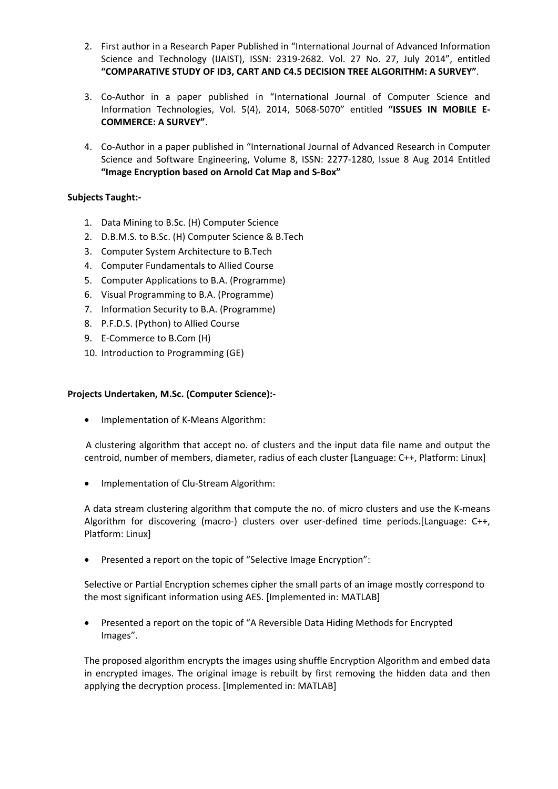- 2. First author in a Research Paper Published in "International Journal of Advanced Information Science and Technology (IJAIST), ISSN: 2319-2682. Vol. 27 No. 27, July 2014", entitled **"COMPARATIVE STUDY OF ID3, CART AND C4.5 DECISION TREE ALGORITHM: A SURVEY"**.
- 3. Co-Author in a paper published in "International Journal of Computer Science and Information Technologies, Vol. 5(4), 2014, 5068‐5070" entitled **"ISSUES IN MOBILE E‐ COMMERCE: A SURVEY"**.
- 4. Co-Author in a paper published in "International Journal of Advanced Research in Computer Science and Software Engineering, Volume 8, ISSN: 2277‐1280, Issue 8 Aug 2014 Entitled **"Image Encryption based on Arnold Cat Map and S‐Box"**

## **Subjects Taught:‐**

- 1. Data Mining to B.Sc. (H) Computer Science
- 2. D.B.M.S. to B.Sc. (H) Computer Science & B.Tech
- 3. Computer System Architecture to B.Tech
- 4. Computer Fundamentals to Allied Course
- 5. Computer Applications to B.A. (Programme)
- 6. Visual Programming to B.A. (Programme)
- 7. Information Security to B.A. (Programme)
- 8. P.F.D.S. (Python) to Allied Course
- 9. E-Commerce to B.Com (H)
- 10. Introduction to Programming (GE)

## **Projects Undertaken, M.Sc. (Computer Science):‐**

• Implementation of K-Means Algorithm:

A clustering algorithm that accept no. of clusters and the input data file name and output the centroid, number of members, diameter, radius of each cluster [Language: C++, Platform: Linux]

■ Implementation of Clu-Stream Algorithm:

A data stream clustering algorithm that compute the no. of micro clusters and use the K‐means Algorithm for discovering (macro-) clusters over user-defined time periods.[Language: C++, Platform: Linux]

Presented a report on the topic of "Selective Image Encryption":

Selective or Partial Encryption schemes cipher the small parts of an image mostly correspond to the most significant information using AES. [Implemented in: MATLAB]

 Presented a report on the topic of "A Reversible Data Hiding Methods for Encrypted Images".

The proposed algorithm encrypts the images using shuffle Encryption Algorithm and embed data in encrypted images. The original image is rebuilt by first removing the hidden data and then applying the decryption process. [Implemented in: MATLAB]